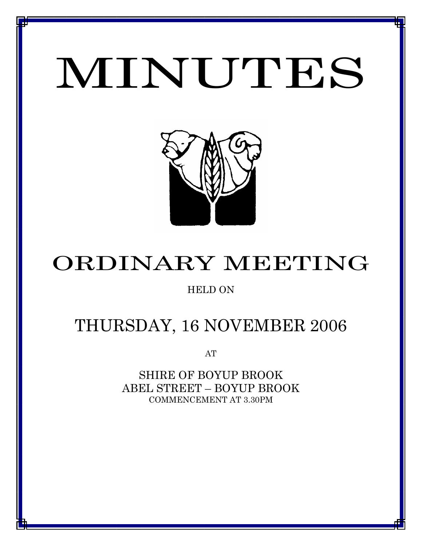# MINUTES

*MINUTES OF THE ORDINARY MEETING OF COUNCIL HELD ON 16 NOVEMBER 2006*



# ORDINARY MEETING

HELD ON

## THURSDAY, 16 NOVEMBER 2006

AT

SHIRE OF BOYUP BROOK ABEL STREET – BOYUP BROOK COMMENCEMENT AT 3.30PM

<u>1 - Johann Johann Barbara, martxa a shekara 1</u>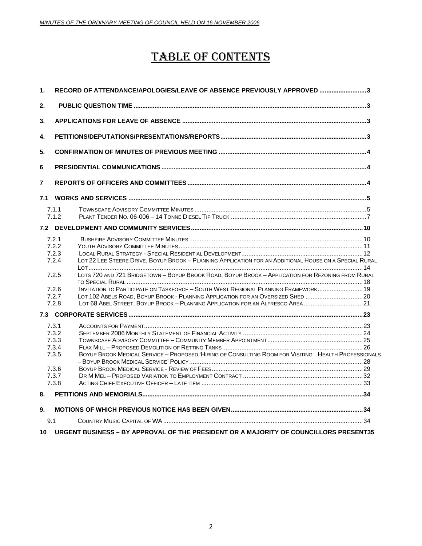### TABLE OF CONTENTS

| $\mathbf{1}$ . |                | RECORD OF ATTENDANCE/APOLOGIES/LEAVE OF ABSENCE PREVIOUSLY APPROVED 3                                                                                                                                       |  |
|----------------|----------------|-------------------------------------------------------------------------------------------------------------------------------------------------------------------------------------------------------------|--|
| 2.             |                |                                                                                                                                                                                                             |  |
| 3.             |                |                                                                                                                                                                                                             |  |
| 4.             |                |                                                                                                                                                                                                             |  |
| 5.             |                |                                                                                                                                                                                                             |  |
| 6              |                |                                                                                                                                                                                                             |  |
| $\overline{7}$ |                |                                                                                                                                                                                                             |  |
| 7.1            |                |                                                                                                                                                                                                             |  |
|                | 7.1.1<br>7.1.2 |                                                                                                                                                                                                             |  |
|                |                |                                                                                                                                                                                                             |  |
|                |                |                                                                                                                                                                                                             |  |
|                | 7.2.1<br>7.2.2 |                                                                                                                                                                                                             |  |
|                | 7.2.3          |                                                                                                                                                                                                             |  |
|                | 7.2.4<br>7.2.5 | LOT 22 LEE STEERE DRIVE, BOYUP BROOK - PLANNING APPLICATION FOR AN ADDITIONAL HOUSE ON A SPECIAL RURAL<br>LOTS 720 AND 721 BRIDGETOWN - BOYUP BROOK ROAD, BOYUP BROOK - APPLICATION FOR REZONING FROM RURAL |  |
|                |                |                                                                                                                                                                                                             |  |
|                | 7.2.6          | INVITATION TO PARTICIPATE ON TASKFORCE - SOUTH WEST REGIONAL PLANNING FRAMEWORK 19                                                                                                                          |  |
|                | 7.2.7          | LOT 102 ABELS ROAD, BOYUP BROOK - PLANNING APPLICATION FOR AN OVERSIZED SHED 20                                                                                                                             |  |
|                | 7.2.8          | LOT 68 ABEL STREET, BOYUP BROOK - PLANNING APPLICATION FOR AN ALFRESCO AREA 21                                                                                                                              |  |
|                |                |                                                                                                                                                                                                             |  |
|                | 7.3.1          |                                                                                                                                                                                                             |  |
|                | 7.3.2          |                                                                                                                                                                                                             |  |
|                | 7.3.3          |                                                                                                                                                                                                             |  |
|                | 7.3.4          |                                                                                                                                                                                                             |  |
|                | 7.3.5          | BOYUP BROOK MEDICAL SERVICE - PROPOSED 'HIRING OF CONSULTING ROOM FOR VISITING HEALTH PROFESSIONALS                                                                                                         |  |
|                |                |                                                                                                                                                                                                             |  |
|                | 7.3.6          |                                                                                                                                                                                                             |  |
|                | 7.3.7          |                                                                                                                                                                                                             |  |
| 8.             | 7.3.8          |                                                                                                                                                                                                             |  |
|                |                |                                                                                                                                                                                                             |  |
| 9.             |                |                                                                                                                                                                                                             |  |
|                | 9.1            |                                                                                                                                                                                                             |  |
| 10             |                | URGENT BUSINESS - BY APPROVAL OF THE PRESIDENT OR A MAJORITY OF COUNCILLORS PRESENT35                                                                                                                       |  |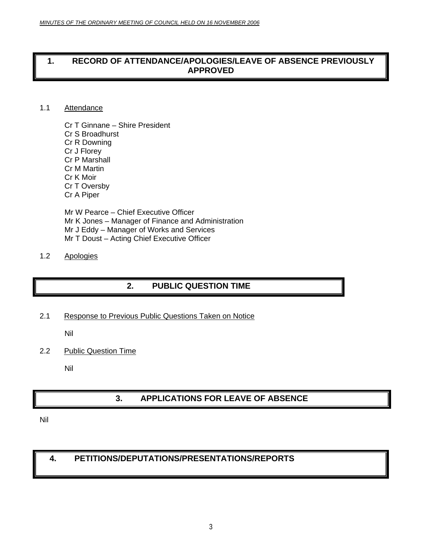### <span id="page-2-0"></span>**1. RECORD OF ATTENDANCE/APOLOGIES/LEAVE OF ABSENCE PREVIOUSLY APPROVED**

### 1.1 Attendance

Cr T Ginnane – Shire President Cr S Broadhurst Cr R Downing Cr J Florey Cr P Marshall Cr M Martin Cr K Moir Cr T Oversby Cr A Piper

Mr W Pearce – Chief Executive Officer Mr K Jones – Manager of Finance and Administration Mr J Eddy – Manager of Works and Services Mr T Doust – Acting Chief Executive Officer

### 1.2 Apologies

### **2. PUBLIC QUESTION TIME**

2.1 Response to Previous Public Questions Taken on Notice

Nil

2.2 Public Question Time

Nil

### **3. APPLICATIONS FOR LEAVE OF ABSENCE**

Nil

### **4. PETITIONS/DEPUTATIONS/PRESENTATIONS/REPORTS**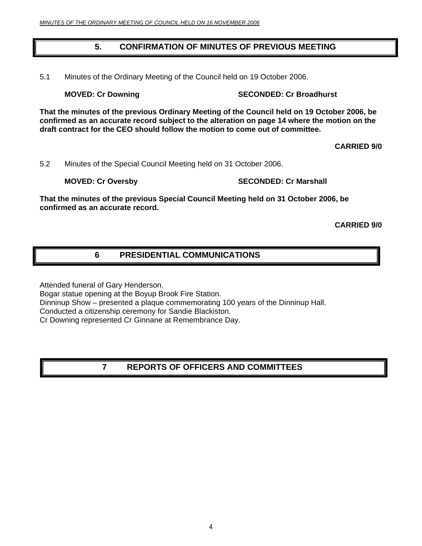### **5. CONFIRMATION OF MINUTES OF PREVIOUS MEETING**

<span id="page-3-0"></span>5.1 Minutes of the Ordinary Meeting of the Council held on 19 October 2006.

**MOVED: Cr Downing The SECONDED: Cr Broadhurst** 

**That the minutes of the previous Ordinary Meeting of the Council held on 19 October 2006, be confirmed as an accurate record subject to the alteration on page 14 where the motion on the draft contract for the CEO should follow the motion to come out of committee.** 

**CARRIED 9/0** 

5.2 Minutes of the Special Council Meeting held on 31 October 2006.

**MOVED: Cr Oversby SECONDED: Cr Marshall** 

**That the minutes of the previous Special Council Meeting held on 31 October 2006, be confirmed as an accurate record.** 

**CARRIED 9/0** 

### **6 PRESIDENTIAL COMMUNICATIONS**

Attended funeral of Gary Henderson.

Bogar statue opening at the Boyup Brook Fire Station.

Dinninup Show – presented a plaque commemorating 100 years of the Dinninup Hall.

Conducted a citizenship ceremony for Sandie Blackiston.

Cr Downing represented Cr Ginnane at Remembrance Day.

### **7 REPORTS OF OFFICERS AND COMMITTEES**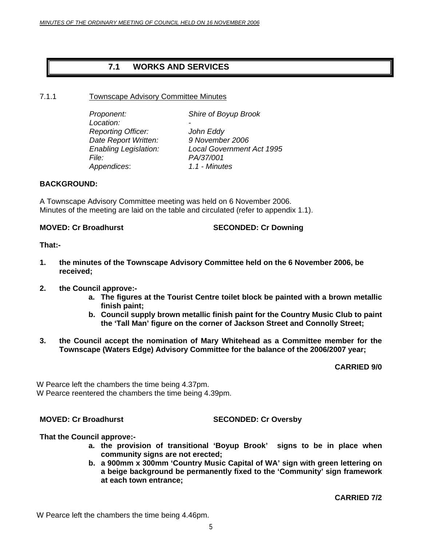### **7.1 WORKS AND SERVICES**

<span id="page-4-0"></span>7.1.1 Townscape Advisory Committee Minutes

| Shire of Boyup Brook             |
|----------------------------------|
|                                  |
| John Eddy                        |
| 9 November 2006                  |
| <b>Local Government Act 1995</b> |
| PA/37/001                        |
| 1.1 - Minutes                    |
|                                  |

### **BACKGROUND:**

A Townscape Advisory Committee meeting was held on 6 November 2006. Minutes of the meeting are laid on the table and circulated (refer to appendix 1.1).

### **MOVED: Cr Broadhurst SECONDED: Cr Downing**

**That:-** 

- **1. the minutes of the Townscape Advisory Committee held on the 6 November 2006, be received;**
- **2. the Council approve:** 
	- **a. The figures at the Tourist Centre toilet block be painted with a brown metallic finish paint;**
	- **b. Council supply brown metallic finish paint for the Country Music Club to paint the 'Tall Man' figure on the corner of Jackson Street and Connolly Street;**
- **3. the Council accept the nomination of Mary Whitehead as a Committee member for the Townscape (Waters Edge) Advisory Committee for the balance of the 2006/2007 year;**

**CARRIED 9/0** 

W Pearce left the chambers the time being 4.37pm. W Pearce reentered the chambers the time being 4.39pm.

**MOVED: Cr Broadhurst SECONDED: Cr Oversby**

### **That the Council approve:-**

- **a. the provision of transitional 'Boyup Brook' signs to be in place when community signs are not erected;**
- **b. a 900mm x 300mm 'Country Music Capital of WA' sign with green lettering on a beige background be permanently fixed to the 'Community' sign framework at each town entrance;**

W Pearce left the chambers the time being 4.46pm.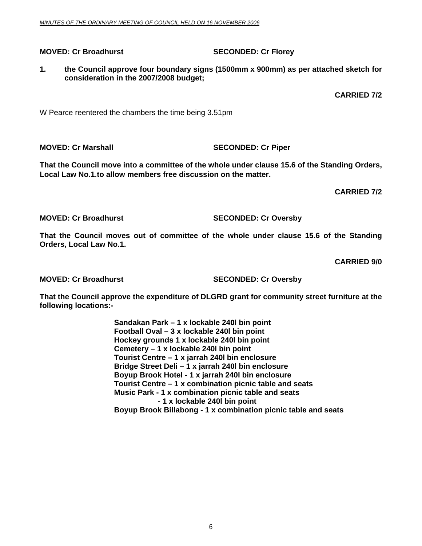### **MOVED: Cr Broadhurst SECONDED: Cr Florey**

**1. the Council approve four boundary signs (1500mm x 900mm) as per attached sketch for consideration in the 2007/2008 budget;** 

**CARRIED 7/2** 

W Pearce reentered the chambers the time being 3.51pm

**MOVED: Cr Marshall SECONDED: Cr Piper** 

**That the Council move into a committee of the whole under clause 15.6 of the Standing Orders, Local Law No.1**.**to allow members free discussion on the matter.** 

 **CARRIED 7/2** 

**MOVED: Cr Broadhurst SECONDED: Cr Oversby** 

**That the Council moves out of committee of the whole under clause 15.6 of the Standing Orders, Local Law No.1.** 

**CARRIED 9/0** 

**MOVED: Cr Broadhurst SECONDED: Cr Oversby** 

**That the Council approve the expenditure of DLGRD grant for community street furniture at the following locations:-** 

> **Sandakan Park – 1 x lockable 240l bin point Football Oval – 3 x lockable 240l bin point Hockey grounds 1 x lockable 240l bin point Cemetery – 1 x lockable 240l bin point Tourist Centre – 1 x jarrah 240l bin enclosure Bridge Street Deli – 1 x jarrah 240l bin enclosure Boyup Brook Hotel - 1 x jarrah 240l bin enclosure Tourist Centre – 1 x combination picnic table and seats Music Park - 1 x combination picnic table and seats - 1 x lockable 240l bin point Boyup Brook Billabong - 1 x combination picnic table and seats**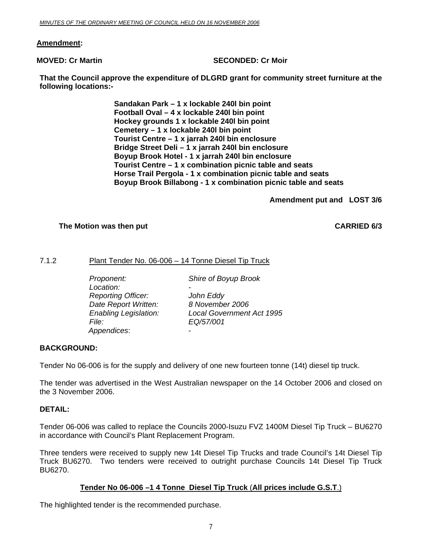### <span id="page-6-0"></span>**Amendment:**

### **MOVED: Cr Martin SECONDED: Cr Moir And SECONDED: Cr Moir**

**That the Council approve the expenditure of DLGRD grant for community street furniture at the following locations:-** 

> **Sandakan Park – 1 x lockable 240l bin point Football Oval – 4 x lockable 240l bin point Hockey grounds 1 x lockable 240l bin point Cemetery – 1 x lockable 240l bin point Tourist Centre – 1 x jarrah 240l bin enclosure Bridge Street Deli – 1 x jarrah 240l bin enclosure Boyup Brook Hotel - 1 x jarrah 240l bin enclosure Tourist Centre – 1 x combination picnic table and seats Horse Trail Pergola - 1 x combination picnic table and seats Boyup Brook Billabong - 1 x combination picnic table and seats**

> > **Amendment put and LOST 3/6**

### **The Motion was then put CARRIED 6/3**

### 7.1.2 Plant Tender No. 06-006 – 14 Tonne Diesel Tip Truck

| Proponent:                   | Shire of Boyup Brook             |
|------------------------------|----------------------------------|
| Location:                    |                                  |
| <b>Reporting Officer:</b>    | John Eddy                        |
| Date Report Written:         | 8 November 2006                  |
| <b>Enabling Legislation:</b> | <b>Local Government Act 1995</b> |
| <i>File:</i>                 | EQ/57/001                        |
| Appendices:                  |                                  |

### **BACKGROUND:**

Tender No 06-006 is for the supply and delivery of one new fourteen tonne (14t) diesel tip truck.

The tender was advertised in the West Australian newspaper on the 14 October 2006 and closed on the 3 November 2006.

### **DETAIL:**

Tender 06-006 was called to replace the Councils 2000-Isuzu FVZ 1400M Diesel Tip Truck – BU6270 in accordance with Council's Plant Replacement Program.

Three tenders were received to supply new 14t Diesel Tip Trucks and trade Council's 14t Diesel Tip Truck BU6270. Two tenders were received to outright purchase Councils 14t Diesel Tip Truck BU6270.

### **Tender No 06-006 –1 4 Tonne Diesel Tip Truck** (**All prices include G.S.T**.)

The highlighted tender is the recommended purchase.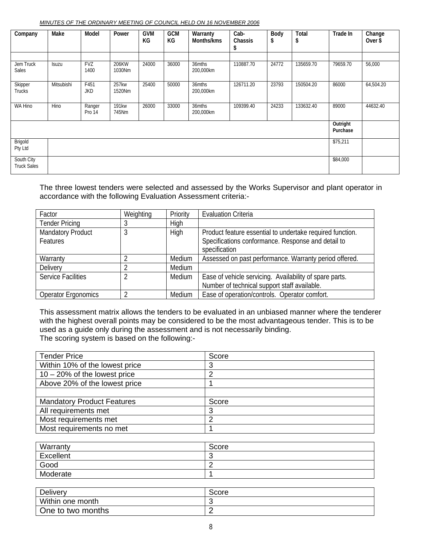### *MINUTES OF THE ORDINARY MEETING OF COUNCIL HELD ON 16 NOVEMBER 2006*

| Company                          | Make       | Model              | Power                 | <b>GVM</b><br>КG | <b>GCM</b><br>КG | Warranty<br>Months/kms | Cab-<br>Chassis<br>S | Body<br>\$ | Total     | Trade In             | Change<br>Over \$ |
|----------------------------------|------------|--------------------|-----------------------|------------------|------------------|------------------------|----------------------|------------|-----------|----------------------|-------------------|
|                                  |            |                    |                       |                  |                  |                        |                      |            |           |                      |                   |
| Jem Truck<br>Sales               | Isuzu      | <b>FVZ</b><br>1400 | 206KW<br>1030Nm       | 24000            | 36000            | 36mths<br>200,000km    | 110887.70            | 24772      | 135659.70 | 79659.70             | 56,000            |
| Skipper<br>Trucks                | Mitsubishi | F451<br>JKD        | 257kw<br>1520Nm       | 25400            | 50000            | 36mths<br>200,000km    | 126711.20            | 23793      | 150504.20 | 86000                | 64,504.20         |
| WA Hino                          | Hino       | Ranger<br>Pro 14   | <b>191kw</b><br>745Nm | 26000            | 33000            | 36mths<br>200,000km    | 109399.40            | 24233      | 133632.40 | 89000                | 44632.40          |
|                                  |            |                    |                       |                  |                  |                        |                      |            |           | Outright<br>Purchase |                   |
| Brigold<br>Pty Ltd               |            |                    |                       |                  |                  |                        |                      |            |           | \$75,211             |                   |
| South City<br><b>Truck Sales</b> |            |                    |                       |                  |                  |                        |                      |            |           | \$84,000             |                   |

The three lowest tenders were selected and assessed by the Works Supervisor and plant operator in accordance with the following Evaluation Assessment criteria:-

| Factor                     | Weighting | Priority | <b>Evaluation Criteria</b>                                |
|----------------------------|-----------|----------|-----------------------------------------------------------|
| <b>Tender Pricing</b>      |           | High     |                                                           |
| <b>Mandatory Product</b>   |           | High     | Product feature essential to undertake required function. |
| <b>Features</b>            |           |          | Specifications conformance. Response and detail to        |
|                            |           |          | specification                                             |
| Warranty                   |           | Medium   | Assessed on past performance. Warranty period offered.    |
| <b>Delivery</b>            |           | Medium   |                                                           |
| <b>Service Facilities</b>  |           | Medium   | Ease of vehicle servicing. Availability of spare parts.   |
|                            |           |          | Number of technical support staff available.              |
| <b>Operator Ergonomics</b> |           | Medium   | Ease of operation/controls. Operator comfort.             |

This assessment matrix allows the tenders to be evaluated in an unbiased manner where the tenderer with the highest overall points may be considered to be the most advantageous tender. This is to be used as a guide only during the assessment and is not necessarily binding. The scoring system is based on the following:-

| <b>Tender Price</b>               | Score |
|-----------------------------------|-------|
| Within 10% of the lowest price    | 3     |
| $10 - 20\%$ of the lowest price   | 2     |
| Above 20% of the lowest price     |       |
|                                   |       |
| <b>Mandatory Product Features</b> | Score |
| All requirements met              | 3     |
| Most requirements met             | 2     |
| Most requirements no met          |       |

| Warranty  | Score |
|-----------|-------|
| Excellent | u     |
| Good      | -     |
| Moderate  |       |

| Delivery          | Score |
|-------------------|-------|
| Within one month  |       |
| One to two months | _     |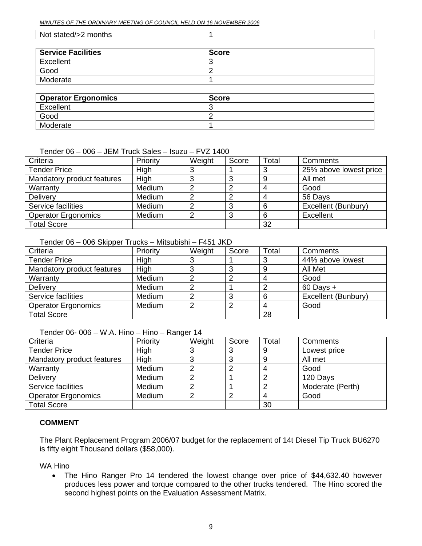| Not stated/>2 months      |              |  |  |
|---------------------------|--------------|--|--|
|                           |              |  |  |
| <b>Service Facilities</b> | <b>Score</b> |  |  |
| Excellent                 | ,<br>$\cdot$ |  |  |
| Good                      |              |  |  |
| Moderate                  |              |  |  |

| <b>Operator Ergonomics</b> | <b>Score</b> |
|----------------------------|--------------|
| Excellent                  | s.           |
| Good                       |              |
| Moderate                   |              |

### Tender 06 – 006 – JEM Truck Sales – Isuzu – FVZ 1400

| Criteria                   | Priority      | Weight | Score  | Total  | Comments               |
|----------------------------|---------------|--------|--------|--------|------------------------|
| <b>Tender Price</b>        | High          | 3      |        | ົ<br>J | 25% above lowest price |
| Mandatory product features | High          | ີ<br>ت | ົ<br>ت | 9      | All met                |
| Warranty                   | <b>Medium</b> | ⌒      | 2      | 4      | Good                   |
| Delivery                   | Medium        |        | ◠      | 4      | 56 Days                |
| Service facilities         | Medium        | റ      | າ<br>P | 6      | Excellent (Bunbury)    |
| <b>Operator Ergonomics</b> | Medium        | റ      | 3      | 6      | Excellent              |
| <b>Total Score</b>         |               |        |        | 32     |                        |

### Tender 06 – 006 Skipper Trucks – Mitsubishi – F451 JKD

| Criteria                   | Priority      | Weight | Score  | Total | Comments            |
|----------------------------|---------------|--------|--------|-------|---------------------|
| <b>Tender Price</b>        | High          | O      |        | J     | 44% above lowest    |
| Mandatory product features | High          | ◠      | ົ<br>w | 9     | All Met             |
| Warranty                   | Medium        | റ      | റ      | 4     | Good                |
| Delivery                   | <b>Medium</b> | 2      |        |       | $60$ Days +         |
| Service facilities         | <b>Medium</b> | ◠      | ົ<br>w | 6     | Excellent (Bunbury) |
| <b>Operator Ergonomics</b> | <b>Medium</b> | ⌒      | ົ      | 4     | Good                |
| <b>Total Score</b>         |               |        |        | 28    |                     |

### Tender 06- 006 – W.A. Hino – Hino – Ranger 14

| Criteria                   | Priority      | Weight | Score  | Total | Comments         |
|----------------------------|---------------|--------|--------|-------|------------------|
| <b>Tender Price</b>        | High          | د      | ົ<br>ت | 9     | Lowest price     |
| Mandatory product features | High          | ົ<br>O | ິ<br>J | 9     | All met          |
| Warranty                   | Medium        | ົ<br>∠ | റ<br>∠ |       | Good             |
| Delivery                   | <b>Medium</b> | ◠      |        |       | 120 Days         |
| Service facilities         | <b>Medium</b> | ◠      |        |       | Moderate (Perth) |
| <b>Operator Ergonomics</b> | <b>Medium</b> | ◠      | 2      |       | Good             |
| <b>Total Score</b>         |               |        |        | 30    |                  |

### **COMMENT**

The Plant Replacement Program 2006/07 budget for the replacement of 14t Diesel Tip Truck BU6270 is fifty eight Thousand dollars (\$58,000).

WA Hino

• The Hino Ranger Pro 14 tendered the lowest change over price of \$44,632.40 however produces less power and torque compared to the other trucks tendered. The Hino scored the second highest points on the Evaluation Assessment Matrix.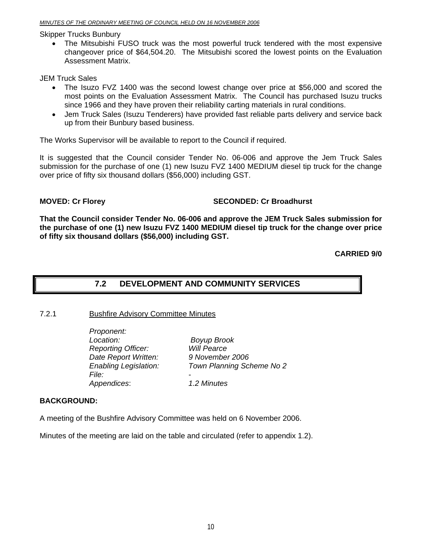### <span id="page-9-0"></span>*MINUTES OF THE ORDINARY MEETING OF COUNCIL HELD ON 16 NOVEMBER 2006*

Skipper Trucks Bunbury

• The Mitsubishi FUSO truck was the most powerful truck tendered with the most expensive changeover price of \$64,504.20. The Mitsubishi scored the lowest points on the Evaluation Assessment Matrix.

JEM Truck Sales

- The Isuzo FVZ 1400 was the second lowest change over price at \$56,000 and scored the most points on the Evaluation Assessment Matrix. The Council has purchased Isuzu trucks since 1966 and they have proven their reliability carting materials in rural conditions.
- Jem Truck Sales (Isuzu Tenderers) have provided fast reliable parts delivery and service back up from their Bunbury based business.

The Works Supervisor will be available to report to the Council if required.

It is suggested that the Council consider Tender No. 06-006 and approve the Jem Truck Sales submission for the purchase of one (1) new Isuzu FVZ 1400 MEDIUM diesel tip truck for the change over price of fifty six thousand dollars (\$56,000) including GST.

### **MOVED: Cr Florey SECONDED: Cr Broadhurst**

**That the Council consider Tender No. 06-006 and approve the JEM Truck Sales submission for the purchase of one (1) new Isuzu FVZ 1400 MEDIUM diesel tip truck for the change over price of fifty six thousand dollars (\$56,000) including GST.** 

**CARRIED 9/0** 

### **7.2 DEVELOPMENT AND COMMUNITY SERVICES**

### 7.2.1 Bushfire Advisory Committee Minutes

 *Proponent: Location: Boyup Brook Reporting Officer: Will Pearce Date Report Written: 9 November 2006 File: File: PHP Appendices*: *1.2 Minutes*

*Enabling Legislation: Town Planning Scheme No 2* 

### **BACKGROUND:**

A meeting of the Bushfire Advisory Committee was held on 6 November 2006.

Minutes of the meeting are laid on the table and circulated (refer to appendix 1.2).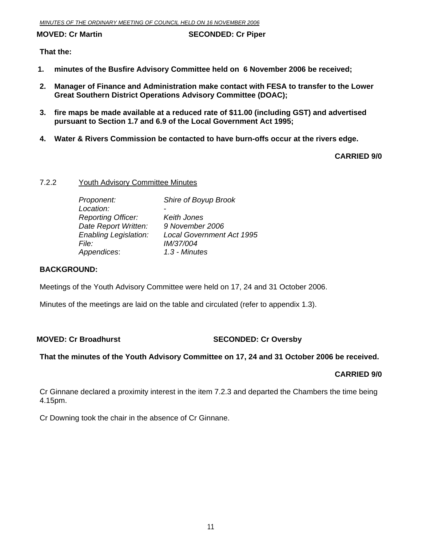<span id="page-10-0"></span>**MOVED: Cr Martin SECONDED: Cr Piper** 

**That the:** 

- **1. minutes of the Busfire Advisory Committee held on 6 November 2006 be received;**
- **2. Manager of Finance and Administration make contact with FESA to transfer to the Lower Great Southern District Operations Advisory Committee (DOAC);**
- **3. fire maps be made available at a reduced rate of \$11.00 (including GST) and advertised pursuant to Section 1.7 and 6.9 of the Local Government Act 1995;**
- **4. Water & Rivers Commission be contacted to have burn-offs occur at the rivers edge.**

**CARRIED 9/0** 

### 7.2.2 Youth Advisory Committee Minutes

| Proponent:                   | Shire of Boyup Brook             |
|------------------------------|----------------------------------|
| Location:                    |                                  |
| <b>Reporting Officer:</b>    | Keith Jones                      |
| Date Report Written:         | 9 November 2006                  |
| <b>Enabling Legislation:</b> | <b>Local Government Act 1995</b> |
| File:                        | IM/37/004                        |
| Appendices:                  | 1.3 - Minutes                    |
|                              |                                  |

### **BACKGROUND:**

Meetings of the Youth Advisory Committee were held on 17, 24 and 31 October 2006.

Minutes of the meetings are laid on the table and circulated (refer to appendix 1.3).

**MOVED: Cr Broadhurst SECONDED: Cr Oversby** 

### **That the minutes of the Youth Advisory Committee on 17, 24 and 31 October 2006 be received.**

### **CARRIED 9/0**

Cr Ginnane declared a proximity interest in the item 7.2.3 and departed the Chambers the time being 4.15pm.

Cr Downing took the chair in the absence of Cr Ginnane.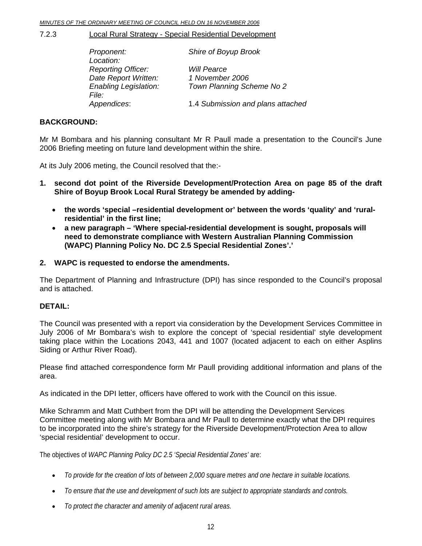### <span id="page-11-0"></span>7.2.3 Local Rural Strategy - Special Residential Development

| Proponent:   |                              | Shire of Boyup Brook              |
|--------------|------------------------------|-----------------------------------|
| Location:    |                              |                                   |
|              | <b>Reporting Officer:</b>    | <b>Will Pearce</b>                |
|              | Date Report Written:         | 1 November 2006                   |
|              | <b>Enabling Legislation:</b> | Town Planning Scheme No 2         |
| <i>File:</i> |                              |                                   |
| Appendices:  |                              | 1.4 Submission and plans attached |

### **BACKGROUND:**

Mr M Bombara and his planning consultant Mr R Paull made a presentation to the Council's June 2006 Briefing meeting on future land development within the shire.

At its July 2006 meting, the Council resolved that the:-

- **1. second dot point of the Riverside Development/Protection Area on page 85 of the draft Shire of Boyup Brook Local Rural Strategy be amended by adding-** 
	- the words 'special –residential development or' between the words 'quality' and 'rural**residential' in the first line;**
	- **a new paragraph 'Where special-residential development is sought, proposals will need to demonstrate compliance with Western Australian Planning Commission (WAPC) Planning Policy No. DC 2.5 Special Residential Zones'.'**

### **2. WAPC is requested to endorse the amendments.**

The Department of Planning and Infrastructure (DPI) has since responded to the Council's proposal and is attached.

### **DETAIL:**

The Council was presented with a report via consideration by the Development Services Committee in July 2006 of Mr Bombara's wish to explore the concept of 'special residential' style development taking place within the Locations 2043, 441 and 1007 (located adjacent to each on either Asplins Siding or Arthur River Road).

Please find attached correspondence form Mr Paull providing additional information and plans of the area.

As indicated in the DPI letter, officers have offered to work with the Council on this issue.

Mike Schramm and Matt Cuthbert from the DPI will be attending the Development Services Committee meeting along with Mr Bombara and Mr Paull to determine exactly what the DPI requires to be incorporated into the shire's strategy for the Riverside Development/Protection Area to allow 'special residential' development to occur.

The objectives of *WAPC Planning Policy DC 2.5 'Special Residential Zones'* are:

- *To provide for the creation of lots of between 2,000 square metres and one hectare in suitable locations.*
- *To ensure that the use and development of such lots are subject to appropriate standards and controls.*
- *To protect the character and amenity of adjacent rural areas.*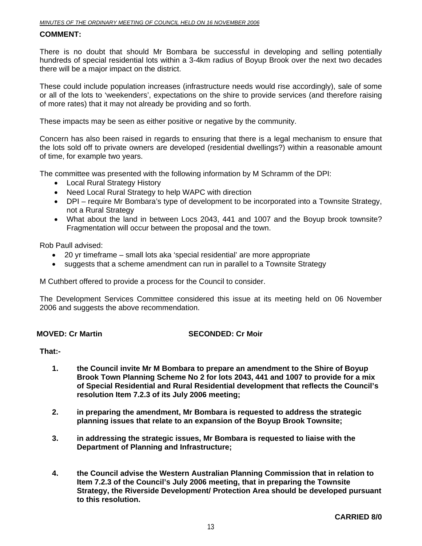### **COMMENT:**

There is no doubt that should Mr Bombara be successful in developing and selling potentially hundreds of special residential lots within a 3-4km radius of Boyup Brook over the next two decades there will be a major impact on the district.

These could include population increases (infrastructure needs would rise accordingly), sale of some or all of the lots to 'weekenders', expectations on the shire to provide services (and therefore raising of more rates) that it may not already be providing and so forth.

These impacts may be seen as either positive or negative by the community.

Concern has also been raised in regards to ensuring that there is a legal mechanism to ensure that the lots sold off to private owners are developed (residential dwellings?) within a reasonable amount of time, for example two years.

The committee was presented with the following information by M Schramm of the DPI:

- Local Rural Strategy History
- Need Local Rural Strategy to help WAPC with direction
- DPI require Mr Bombara's type of development to be incorporated into a Townsite Strategy, not a Rural Strategy
- What about the land in between Locs 2043, 441 and 1007 and the Boyup brook townsite? Fragmentation will occur between the proposal and the town.

Rob Paull advised:

- 20 yr timeframe small lots aka 'special residential' are more appropriate
- suggests that a scheme amendment can run in parallel to a Townsite Strategy

M Cuthbert offered to provide a process for the Council to consider.

The Development Services Committee considered this issue at its meeting held on 06 November 2006 and suggests the above recommendation.

### **MOVED: Cr Martin SECONDED: Cr Moir**

**That:-** 

- **1. the Council invite Mr M Bombara to prepare an amendment to the Shire of Boyup Brook Town Planning Scheme No 2 for lots 2043, 441 and 1007 to provide for a mix of Special Residential and Rural Residential development that reflects the Council's resolution Item 7.2.3 of its July 2006 meeting;**
- **2. in preparing the amendment, Mr Bombara is requested to address the strategic planning issues that relate to an expansion of the Boyup Brook Townsite;**
- **3. in addressing the strategic issues, Mr Bombara is requested to liaise with the Department of Planning and Infrastructure;**
- **4. the Council advise the Western Australian Planning Commission that in relation to Item 7.2.3 of the Council's July 2006 meeting, that in preparing the Townsite Strategy, the Riverside Development/ Protection Area should be developed pursuant to this resolution.**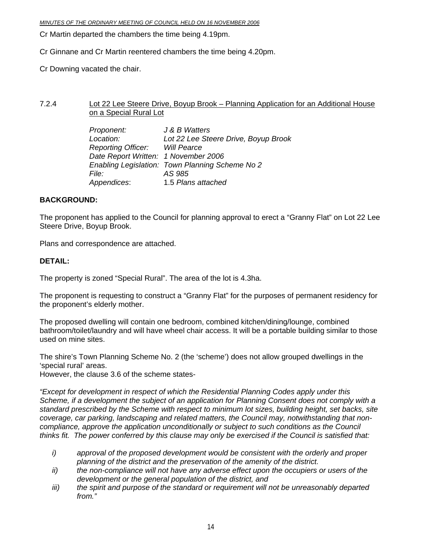<span id="page-13-0"></span>Cr Martin departed the chambers the time being 4.19pm.

Cr Ginnane and Cr Martin reentered chambers the time being 4.20pm.

Cr Downing vacated the chair.

### 7.2.4 Lot 22 Lee Steere Drive, Boyup Brook – Planning Application for an Additional House on a Special Rural Lot

 *Proponent: J & B Watters Location: Lot 22 Lee Steere Drive, Boyup Brook Reporting Officer: Will Pearce Date Report Written: 1 November 2006 Enabling Legislation: Town Planning Scheme No 2 File: AS 985 Appendices*: 1.5 *Plans attached* 

### **BACKGROUND:**

The proponent has applied to the Council for planning approval to erect a "Granny Flat" on Lot 22 Lee Steere Drive, Boyup Brook.

Plans and correspondence are attached.

### **DETAIL:**

The property is zoned "Special Rural". The area of the lot is 4.3ha.

The proponent is requesting to construct a "Granny Flat" for the purposes of permanent residency for the proponent's elderly mother.

The proposed dwelling will contain one bedroom, combined kitchen/dining/lounge, combined bathroom/toilet/laundry and will have wheel chair access. It will be a portable building similar to those used on mine sites.

The shire's Town Planning Scheme No. 2 (the 'scheme') does not allow grouped dwellings in the 'special rural' areas.

However, the clause 3.6 of the scheme states-

*"Except for development in respect of which the Residential Planning Codes apply under this Scheme, if a development the subject of an application for Planning Consent does not comply with a standard prescribed by the Scheme with respect to minimum lot sizes, building height, set backs, site coverage, car parking, landscaping and related matters, the Council may, notwithstanding that noncompliance, approve the application unconditionally or subject to such conditions as the Council thinks fit. The power conferred by this clause may only be exercised if the Council is satisfied that:* 

- *i) approval of the proposed development would be consistent with the orderly and proper planning of the district and the preservation of the amenity of the district.*
- *ii) the non-compliance will not have any adverse effect upon the occupiers or users of the development or the general population of the district, and*
- *iii)* the spirit and purpose of the standard or requirement will not be unreasonably departed *from."*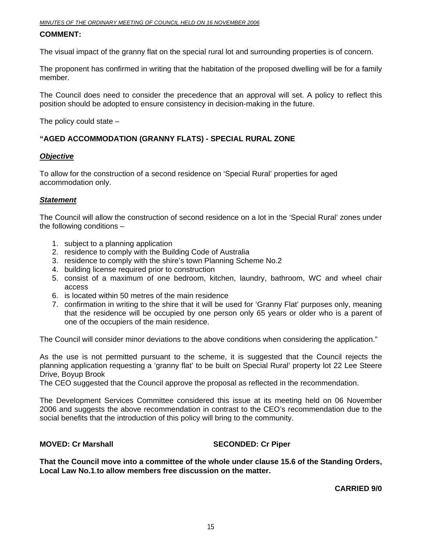### **COMMENT:**

The visual impact of the granny flat on the special rural lot and surrounding properties is of concern.

The proponent has confirmed in writing that the habitation of the proposed dwelling will be for a family member.

The Council does need to consider the precedence that an approval will set. A policy to reflect this position should be adopted to ensure consistency in decision-making in the future.

The policy could state –

### **"AGED ACCOMMODATION (GRANNY FLATS) - SPECIAL RURAL ZONE**

### *Objective*

To allow for the construction of a second residence on 'Special Rural' properties for aged accommodation only.

### *Statement*

The Council will allow the construction of second residence on a lot in the 'Special Rural' zones under the following conditions –

- 1. subject to a planning application
- 2. residence to comply with the Building Code of Australia
- 3. residence to comply with the shire's town Planning Scheme No.2
- 4. building license required prior to construction
- 5. consist of a maximum of one bedroom, kitchen, laundry, bathroom, WC and wheel chair access
- 6. is located within 50 metres of the main residence
- 7. confirmation in writing to the shire that it will be used for 'Granny Flat' purposes only, meaning that the residence will be occupied by one person only 65 years or older who is a parent of one of the occupiers of the main residence.

The Council will consider minor deviations to the above conditions when considering the application."

As the use is not permitted pursuant to the scheme, it is suggested that the Council rejects the planning application requesting a 'granny flat' to be built on Special Rural' property lot 22 Lee Steere Drive, Boyup Brook

The CEO suggested that the Council approve the proposal as reflected in the recommendation.

The Development Services Committee considered this issue at its meeting held on 06 November 2006 and suggests the above recommendation in contrast to the CEO's recommendation due to the social benefits that the introduction of this policy will bring to the community.

### **MOVED: Cr Marshall SECONDED: Cr Piper**

**That the Council move into a committee of the whole under clause 15.6 of the Standing Orders, Local Law No.1**.**to allow members free discussion on the matter.** 

 **CARRIED 9/0**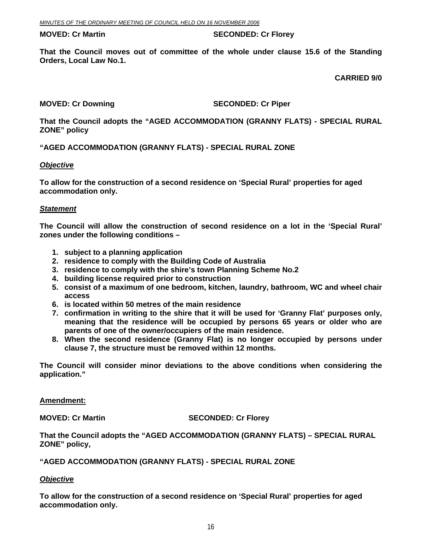**MOVED: Cr Martin SECONDED: Cr Florey** 

**That the Council moves out of committee of the whole under clause 15.6 of the Standing Orders, Local Law No.1.** 

**CARRIED 9/0** 

**MOVED: Cr Downing SECONDED: Cr Piper** 

**That the Council adopts the "AGED ACCOMMODATION (GRANNY FLATS) - SPECIAL RURAL ZONE" policy** 

**"AGED ACCOMMODATION (GRANNY FLATS) - SPECIAL RURAL ZONE** 

### *Objective*

**To allow for the construction of a second residence on 'Special Rural' properties for aged accommodation only.** 

### *Statement*

**The Council will allow the construction of second residence on a lot in the 'Special Rural' zones under the following conditions –** 

- **1. subject to a planning application**
- **2. residence to comply with the Building Code of Australia**
- **3. residence to comply with the shire's town Planning Scheme No.2**
- **4. building license required prior to construction**
- **5. consist of a maximum of one bedroom, kitchen, laundry, bathroom, WC and wheel chair access**
- **6. is located within 50 metres of the main residence**
- **7. confirmation in writing to the shire that it will be used for 'Granny Flat' purposes only, meaning that the residence will be occupied by persons 65 years or older who are parents of one of the owner/occupiers of the main residence.**
- **8. When the second residence (Granny Flat) is no longer occupied by persons under clause 7, the structure must be removed within 12 months.**

**The Council will consider minor deviations to the above conditions when considering the application."** 

**Amendment:**

**MOVED: Cr Martin SECONDED: Cr Florey** 

**That the Council adopts the "AGED ACCOMMODATION (GRANNY FLATS) – SPECIAL RURAL ZONE" policy,** 

### **"AGED ACCOMMODATION (GRANNY FLATS) - SPECIAL RURAL ZONE**

### *Objective*

**To allow for the construction of a second residence on 'Special Rural' properties for aged accommodation only.**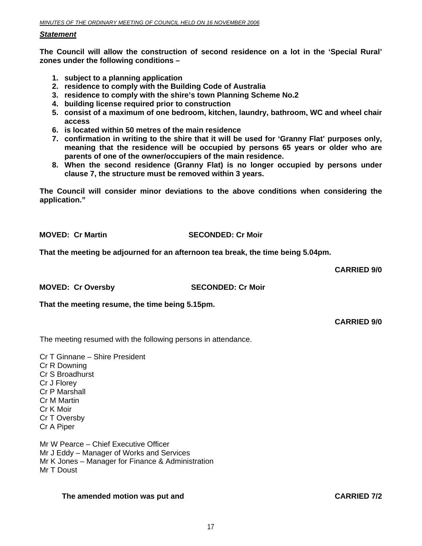### *Statement*

**The Council will allow the construction of second residence on a lot in the 'Special Rural' zones under the following conditions –** 

- **1. subject to a planning application**
- **2. residence to comply with the Building Code of Australia**
- **3. residence to comply with the shire's town Planning Scheme No.2**
- **4. building license required prior to construction**
- **5. consist of a maximum of one bedroom, kitchen, laundry, bathroom, WC and wheel chair access**
- **6. is located within 50 metres of the main residence**
- **7. confirmation in writing to the shire that it will be used for 'Granny Flat' purposes only, meaning that the residence will be occupied by persons 65 years or older who are parents of one of the owner/occupiers of the main residence.**
- **8. When the second residence (Granny Flat) is no longer occupied by persons under clause 7, the structure must be removed within 3 years.**

**The Council will consider minor deviations to the above conditions when considering the application."** 

### **MOVED: Cr Martin SECONDED: Cr Moir**

**That the meeting be adjourned for an afternoon tea break, the time being 5.04pm.** 

**CARRIED 9/0** 

**MOVED: Cr Oversby SECONDED: Cr Moir** 

**That the meeting resume, the time being 5.15pm.** 

**CARRIED 9/0** 

The meeting resumed with the following persons in attendance.

Cr T Ginnane – Shire President Cr R Downing Cr S Broadhurst Cr J Florey Cr P Marshall Cr M Martin Cr K Moir Cr T Oversby Cr A Piper

Mr W Pearce – Chief Executive Officer Mr J Eddy – Manager of Works and Services Mr K Jones – Manager for Finance & Administration Mr T Doust

### **The amended motion was put and CARRIED 7/2**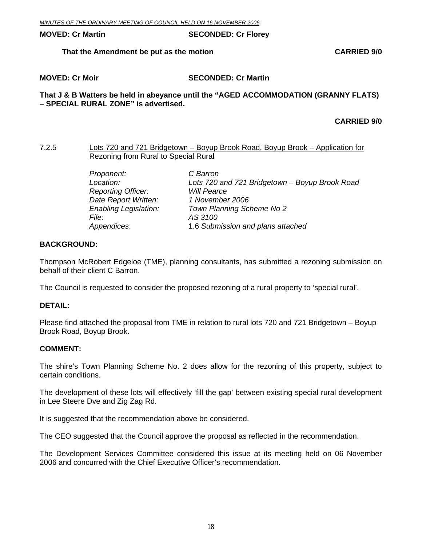### <span id="page-17-0"></span>**MOVED: Cr Martin SECONDED: Cr Florey**

### **That the Amendment be put as the motion CARRIED 9/0**

### **MOVED: Cr Moir** SECONDED: Cr Martin

**That J & B Watters be held in abeyance until the "AGED ACCOMMODATION (GRANNY FLATS) – SPECIAL RURAL ZONE" is advertised.** 

**CARRIED 9/0** 

### 7.2.5 Lots 720 and 721 Bridgetown – Boyup Brook Road, Boyup Brook – Application for Rezoning from Rural to Special Rural

| Proponent:                   | C Barron                                       |
|------------------------------|------------------------------------------------|
| Location:                    | Lots 720 and 721 Bridgetown - Boyup Brook Road |
| <b>Reporting Officer:</b>    | <b>Will Pearce</b>                             |
| Date Report Written:         | 1 November 2006                                |
| <b>Enabling Legislation:</b> | Town Planning Scheme No 2                      |
| <i>File:</i>                 | AS 3100                                        |
| Appendices:                  | 1.6 Submission and plans attached              |
|                              |                                                |

### **BACKGROUND:**

Thompson McRobert Edgeloe (TME), planning consultants, has submitted a rezoning submission on behalf of their client C Barron.

The Council is requested to consider the proposed rezoning of a rural property to 'special rural'.

### **DETAIL:**

Please find attached the proposal from TME in relation to rural lots 720 and 721 Bridgetown – Boyup Brook Road, Boyup Brook.

### **COMMENT:**

The shire's Town Planning Scheme No. 2 does allow for the rezoning of this property, subject to certain conditions.

The development of these lots will effectively 'fill the gap' between existing special rural development in Lee Steere Dve and Zig Zag Rd.

It is suggested that the recommendation above be considered.

The CEO suggested that the Council approve the proposal as reflected in the recommendation.

The Development Services Committee considered this issue at its meeting held on 06 November 2006 and concurred with the Chief Executive Officer's recommendation.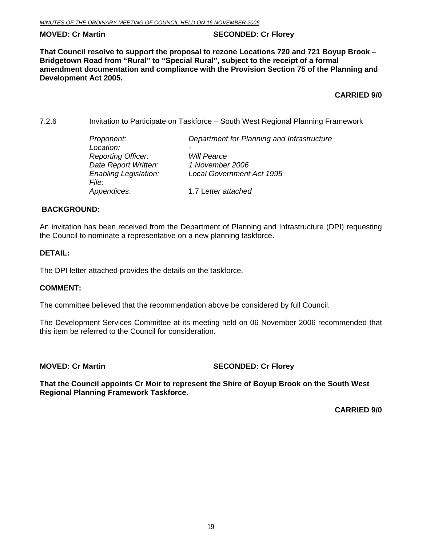### <span id="page-18-0"></span>**MOVED: Cr Martin SECONDED: Cr Florey**

**That Council resolve to support the proposal to rezone Locations 720 and 721 Boyup Brook – Bridgetown Road from "Rural" to "Special Rural", subject to the receipt of a formal amendment documentation and compliance with the Provision Section 75 of the Planning and Development Act 2005.** 

**CARRIED 9/0** 

### 7.2.6 Invitation to Participate on Taskforce – South West Regional Planning Framework

 *Proponent: Department for Planning and Infrastructure*  **Location:**<br> **Reporting Officer:** The Will Pearce  $Re$ *porting Officer: Date Report Written: 1 November 2006 Enabling Legislation: Local Government Act 1995 File: Appendices*: 1.7 L*etter attached* 

### **BACKGROUND:**

An invitation has been received from the Department of Planning and Infrastructure (DPI) requesting the Council to nominate a representative on a new planning taskforce.

### **DETAIL:**

The DPI letter attached provides the details on the taskforce.

### **COMMENT:**

The committee believed that the recommendation above be considered by full Council.

The Development Services Committee at its meeting held on 06 November 2006 recommended that this item be referred to the Council for consideration.

**MOVED: Cr Martin SECONDED: Cr Florey** 

**That the Council appoints Cr Moir to represent the Shire of Boyup Brook on the South West Regional Planning Framework Taskforce.** 

**CARRIED 9/0**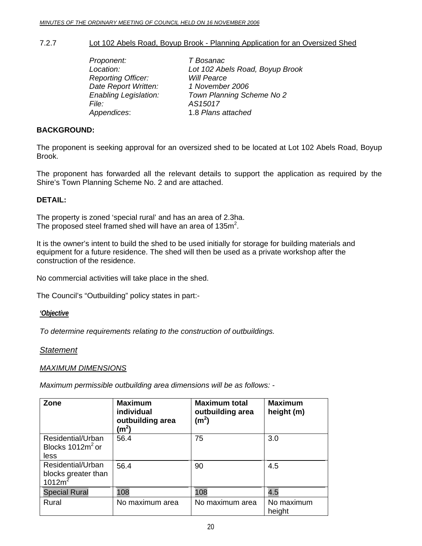### <span id="page-19-0"></span>7.2.7 Lot 102 Abels Road, Boyup Brook - Planning Application for an Oversized Shed

| Proponent:                   | T Bosanac                       |
|------------------------------|---------------------------------|
| Location:                    | Lot 102 Abels Road, Boyup Brook |
| <b>Reporting Officer:</b>    | <b>Will Pearce</b>              |
| Date Report Written:         | 1 November 2006                 |
| <b>Enabling Legislation:</b> | Town Planning Scheme No 2       |
| <i>File:</i>                 | AS15017                         |
| Appendices:                  | 1.8 Plans attached              |

### **BACKGROUND:**

The proponent is seeking approval for an oversized shed to be located at Lot 102 Abels Road, Boyup Brook.

The proponent has forwarded all the relevant details to support the application as required by the Shire's Town Planning Scheme No. 2 and are attached.

### **DETAIL:**

The property is zoned 'special rural' and has an area of 2.3ha. The proposed steel framed shed will have an area of 135 $m^2$ .

It is the owner's intent to build the shed to be used initially for storage for building materials and equipment for a future residence. The shed will then be used as a private workshop after the construction of the residence.

No commercial activities will take place in the shed.

The Council's "Outbuilding" policy states in part:-

### *'Objective*

*To determine requirements relating to the construction of outbuildings.* 

### *Statement*

### *MAXIMUM DIMENSIONS*

*Maximum permissible outbuilding area dimensions will be as follows: -* 

| Zone                                                      | <b>Maximum</b><br>individual<br>outbuilding area<br>(m <sup>2</sup> ) | <b>Maximum total</b><br>outbuilding area<br>(m <sup>2</sup> ) | <b>Maximum</b><br>height (m) |
|-----------------------------------------------------------|-----------------------------------------------------------------------|---------------------------------------------------------------|------------------------------|
| Residential/Urban<br>Blocks 1012m <sup>2</sup> or<br>less | 56.4                                                                  | 75                                                            | 3.0                          |
| Residential/Urban<br>blocks greater than<br>$1012m^2$     | 56.4                                                                  | 90                                                            | 4.5                          |
| <b>Special Rural</b>                                      | 108                                                                   | 108                                                           | 4.5                          |
| Rural                                                     | No maximum area                                                       | No maximum area                                               | No maximum<br>height         |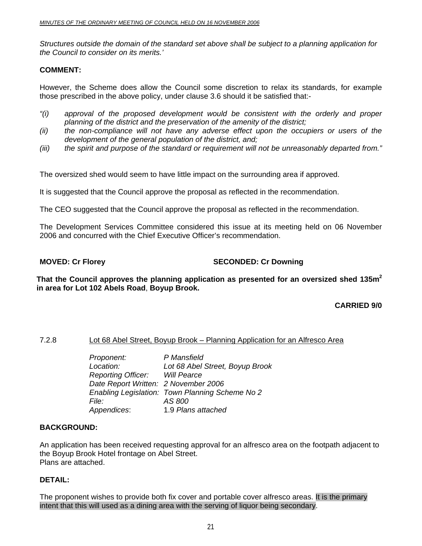<span id="page-20-0"></span>*Structures outside the domain of the standard set above shall be subject to a planning application for the Council to consider on its merits.'* 

### **COMMENT:**

However, the Scheme does allow the Council some discretion to relax its standards, for example those prescribed in the above policy, under clause 3.6 should it be satisfied that:-

- *"(i) approval of the proposed development would be consistent with the orderly and proper planning of the district and the preservation of the amenity of the district;*
- *(ii) the non-compliance will not have any adverse effect upon the occupiers or users of the development of the general population of the district, and;*
- *(iii) the spirit and purpose of the standard or requirement will not be unreasonably departed from."*

The oversized shed would seem to have little impact on the surrounding area if approved.

It is suggested that the Council approve the proposal as reflected in the recommendation.

The CEO suggested that the Council approve the proposal as reflected in the recommendation.

The Development Services Committee considered this issue at its meeting held on 06 November 2006 and concurred with the Chief Executive Officer's recommendation.

### **MOVED: Cr Florey SECONDED: Cr Downing**

That the Council approves the planning application as presented for an oversized shed 135m<sup>2</sup> **in area for Lot 102 Abels Road**, **Boyup Brook.** 

**CARRIED 9/0** 

### 7.2.8 Lot 68 Abel Street, Boyup Brook – Planning Application for an Alfresco Area

 *Proponent: P Mansfield Location: Lot 68 Abel Street, Boyup Brook Reporting Officer: Will Pearce Date Report Written: 2 November 2006 Enabling Legislation: Town Planning Scheme No 2 File: AS 800 Appendices*: 1.9 *Plans attached* 

### **BACKGROUND:**

An application has been received requesting approval for an alfresco area on the footpath adjacent to the Boyup Brook Hotel frontage on Abel Street. Plans are attached.

### **DETAIL:**

The proponent wishes to provide both fix cover and portable cover alfresco areas. It is the primary intent that this will used as a dining area with the serving of liquor being secondary.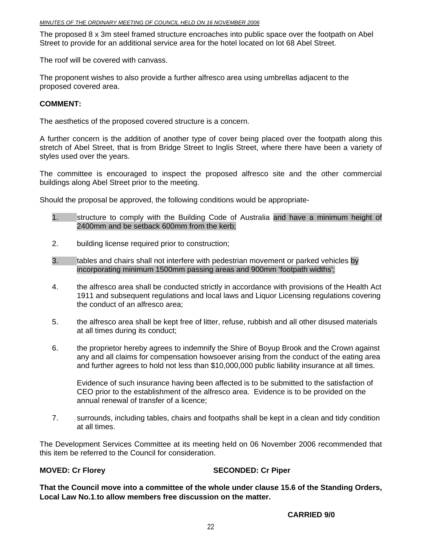The proposed 8 x 3m steel framed structure encroaches into public space over the footpath on Abel Street to provide for an additional service area for the hotel located on lot 68 Abel Street.

The roof will be covered with canvass.

The proponent wishes to also provide a further alfresco area using umbrellas adjacent to the proposed covered area.

### **COMMENT:**

The aesthetics of the proposed covered structure is a concern.

A further concern is the addition of another type of cover being placed over the footpath along this stretch of Abel Street, that is from Bridge Street to Inglis Street, where there have been a variety of styles used over the years.

The committee is encouraged to inspect the proposed alfresco site and the other commercial buildings along Abel Street prior to the meeting.

Should the proposal be approved, the following conditions would be appropriate-

- 1. structure to comply with the Building Code of Australia and have a minimum height of 2400mm and be setback 600mm from the kerb;
- 2. building license required prior to construction;
- 3. tables and chairs shall not interfere with pedestrian movement or parked vehicles by incorporating minimum 1500mm passing areas and 900mm 'footpath widths';
- 4. the alfresco area shall be conducted strictly in accordance with provisions of the Health Act 1911 and subsequent regulations and local laws and Liquor Licensing regulations covering the conduct of an alfresco area;
- 5. the alfresco area shall be kept free of litter, refuse, rubbish and all other disused materials at all times during its conduct;
- 6. the proprietor hereby agrees to indemnify the Shire of Boyup Brook and the Crown against any and all claims for compensation howsoever arising from the conduct of the eating area and further agrees to hold not less than \$10,000,000 public liability insurance at all times.

Evidence of such insurance having been affected is to be submitted to the satisfaction of CEO prior to the establishment of the alfresco area. Evidence is to be provided on the annual renewal of transfer of a licence;

7. surrounds, including tables, chairs and footpaths shall be kept in a clean and tidy condition at all times.

The Development Services Committee at its meeting held on 06 November 2006 recommended that this item be referred to the Council for consideration.

### **MOVED: Cr Florey SECONDED: Cr Piper**

**That the Council move into a committee of the whole under clause 15.6 of the Standing Orders, Local Law No.1**.**to allow members free discussion on the matter.** 

### **CARRIED 9/0**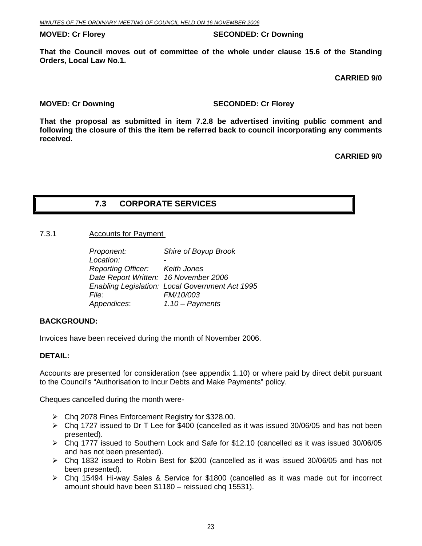<span id="page-22-0"></span>**MOVED: Cr Florey SECONDED: Cr Downing** 

**That the Council moves out of committee of the whole under clause 15.6 of the Standing Orders, Local Law No.1.** 

**CARRIED 9/0** 

### **MOVED: Cr Downing SECONDED: Cr Florey**

**That the proposal as submitted in item 7.2.8 be advertised inviting public comment and following the closure of this the item be referred back to council incorporating any comments received.** 

**CARRIED 9/0** 

### **7.3 CORPORATE SERVICES**

### 7.3.1 Accounts for Payment

| Proponent:                            | Shire of Boyup Brook                            |
|---------------------------------------|-------------------------------------------------|
| Location:                             |                                                 |
| Reporting Officer: Keith Jones        |                                                 |
| Date Report Written: 16 November 2006 |                                                 |
|                                       | Enabling Legislation: Local Government Act 1995 |
| <i>File:</i>                          | FM/10/003                                       |
| Appendices:                           | $1.10 - Payments$                               |

### **BACKGROUND:**

Invoices have been received during the month of November 2006.

### **DETAIL:**

Accounts are presented for consideration (see appendix 1.10) or where paid by direct debit pursuant to the Council's "Authorisation to Incur Debts and Make Payments" policy.

Cheques cancelled during the month were-

- ¾ Chq 2078 Fines Enforcement Registry for \$328.00.
- ¾ Chq 1727 issued to Dr T Lee for \$400 (cancelled as it was issued 30/06/05 and has not been presented).
- ¾ Chq 1777 issued to Southern Lock and Safe for \$12.10 (cancelled as it was issued 30/06/05 and has not been presented).
- $\triangleright$  Chq 1832 issued to Robin Best for \$200 (cancelled as it was issued 30/06/05 and has not been presented).
- ¾ Chq 15494 Hi-way Sales & Service for \$1800 (cancelled as it was made out for incorrect amount should have been \$1180 – reissued chq 15531).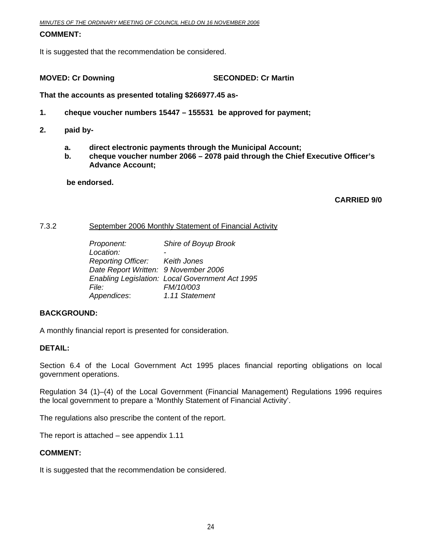### <span id="page-23-0"></span>**COMMENT:**

It is suggested that the recommendation be considered.

**MOVED: Cr Downing SECONDED: Cr Martin** 

**That the accounts as presented totaling \$266977.45 as-**

- **1. cheque voucher numbers 15447 155531 be approved for payment;**
- **2. paid by** 
	- **a. direct electronic payments through the Municipal Account;**
	- **b. cheque voucher number 2066 2078 paid through the Chief Executive Officer's Advance Account;**

 **be endorsed.** 

**CARRIED 9/0** 

7.3.2 September 2006 Monthly Statement of Financial Activity

*Proponent: Shire of Boyup Brook Location: - Reporting Officer: Keith Jones Date Report Written: 9 November 2006 Enabling Legislation: Local Government Act 1995 File: FM/10/003*   $A$ *ppendices*:

### **BACKGROUND:**

A monthly financial report is presented for consideration.

### **DETAIL:**

Section 6.4 of the Local Government Act 1995 places financial reporting obligations on local government operations.

Regulation 34 (1)–(4) of the Local Government (Financial Management) Regulations 1996 requires the local government to prepare a 'Monthly Statement of Financial Activity'.

The regulations also prescribe the content of the report.

The report is attached – see appendix 1.11

### **COMMENT:**

It is suggested that the recommendation be considered.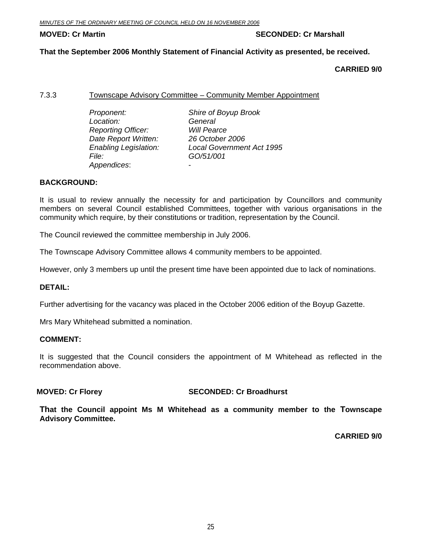### <span id="page-24-0"></span>**MOVED: Cr Martin Carrier Cr Marshall Cr Marshall Cr Marshall Cr Marshall**

### **That the September 2006 Monthly Statement of Financial Activity as presented, be received.**

### **CARRIED 9/0**

### 7.3.3 Townscape Advisory Committee – Community Member Appointment

 *Location: General Reporting Officer: Will Pearce Date Report Written: 26 October 2006 File: GO/51/001 Appendices*: -

 *Proponent: Shire of Boyup Brook Enabling Legislation: Local Government Act 1995* 

### **BACKGROUND:**

It is usual to review annually the necessity for and participation by Councillors and community members on several Council established Committees, together with various organisations in the community which require, by their constitutions or tradition, representation by the Council.

The Council reviewed the committee membership in July 2006.

The Townscape Advisory Committee allows 4 community members to be appointed.

However, only 3 members up until the present time have been appointed due to lack of nominations.

### **DETAIL:**

Further advertising for the vacancy was placed in the October 2006 edition of the Boyup Gazette.

Mrs Mary Whitehead submitted a nomination.

### **COMMENT:**

It is suggested that the Council considers the appointment of M Whitehead as reflected in the recommendation above.

### **MOVED: Cr Florey SECONDED: Cr Broadhurst**

**That the Council appoint Ms M Whitehead as a community member to the Townscape Advisory Committee.** 

**CARRIED 9/0**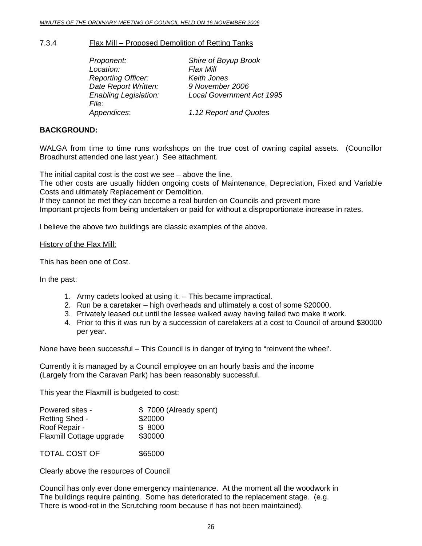### <span id="page-25-0"></span>7.3.4 Flax Mill – Proposed Demolition of Retting Tanks

| Proponent:                            | Shire of Boyup Brook             |
|---------------------------------------|----------------------------------|
| Location:                             | Flax Mill                        |
| <b>Reporting Officer:</b>             | <b>Keith Jones</b>               |
| Date Report Written:                  | 9 November 2006                  |
| <b>Enabling Legislation:</b><br>File: | <b>Local Government Act 1995</b> |
| Appendices:                           | 1.12 Report and Quotes           |

### **BACKGROUND:**

WALGA from time to time runs workshops on the true cost of owning capital assets. (Councillor Broadhurst attended one last year.) See attachment.

The initial capital cost is the cost we see – above the line.

The other costs are usually hidden ongoing costs of Maintenance, Depreciation, Fixed and Variable Costs and ultimately Replacement or Demolition.

If they cannot be met they can become a real burden on Councils and prevent more

Important projects from being undertaken or paid for without a disproportionate increase in rates.

I believe the above two buildings are classic examples of the above.

### History of the Flax Mill:

This has been one of Cost.

In the past:

- 1. Army cadets looked at using it. This became impractical.
- 2. Run be a caretaker high overheads and ultimately a cost of some \$20000.
- 3. Privately leased out until the lessee walked away having failed two make it work.
- 4. Prior to this it was run by a succession of caretakers at a cost to Council of around \$30000 per year.

None have been successful – This Council is in danger of trying to "reinvent the wheel'.

Currently it is managed by a Council employee on an hourly basis and the income (Largely from the Caravan Park) has been reasonably successful.

This year the Flaxmill is budgeted to cost:

| Powered sites -          | \$7000 (Already spent) |
|--------------------------|------------------------|
| Retting Shed -           | \$20000                |
| Roof Repair -            | \$ 8000                |
| Flaxmill Cottage upgrade | \$30000                |
|                          |                        |

TOTAL COST OF \$65000

Clearly above the resources of Council

Council has only ever done emergency maintenance. At the moment all the woodwork in The buildings require painting. Some has deteriorated to the replacement stage. (e.g. There is wood-rot in the Scrutching room because if has not been maintained).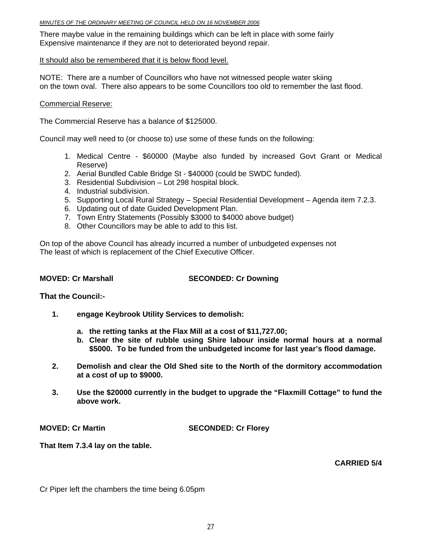### *MINUTES OF THE ORDINARY MEETING OF COUNCIL HELD ON 16 NOVEMBER 2006*

There maybe value in the remaining buildings which can be left in place with some fairly Expensive maintenance if they are not to deteriorated beyond repair.

### It should also be remembered that it is below flood level.

NOTE: There are a number of Councillors who have not witnessed people water skiing on the town oval. There also appears to be some Councillors too old to remember the last flood.

### Commercial Reserve:

The Commercial Reserve has a balance of \$125000.

Council may well need to (or choose to) use some of these funds on the following:

- 1. Medical Centre \$60000 (Maybe also funded by increased Govt Grant or Medical Reserve)
- 2. Aerial Bundled Cable Bridge St \$40000 (could be SWDC funded).
- 3. Residential Subdivision Lot 298 hospital block.
- 4. Industrial subdivision.
- 5. Supporting Local Rural Strategy Special Residential Development Agenda item 7.2.3.
- 6. Updating out of date Guided Development Plan.
- 7. Town Entry Statements (Possibly \$3000 to \$4000 above budget)
- 8. Other Councillors may be able to add to this list.

On top of the above Council has already incurred a number of unbudgeted expenses not The least of which is replacement of the Chief Executive Officer.

**MOVED: Cr Marshall SECONDED: Cr Downing** 

**That the Council:-** 

- **1. engage Keybrook Utility Services to demolish:** 
	- **a. the retting tanks at the Flax Mill at a cost of \$11,727.00;**
	- **b. Clear the site of rubble using Shire labour inside normal hours at a normal \$5000. To be funded from the unbudgeted income for last year's flood damage.**
- **2. Demolish and clear the Old Shed site to the North of the dormitory accommodation at a cost of up to \$9000.**
- **3. Use the \$20000 currently in the budget to upgrade the "Flaxmill Cottage" to fund the above work.**

**MOVED: Cr Martin SECONDED: Cr Florey** 

**That Item 7.3.4 lay on the table.** 

**CARRIED 5/4** 

Cr Piper left the chambers the time being 6.05pm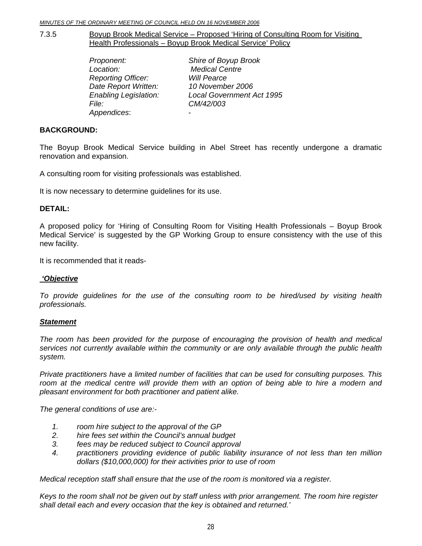### <span id="page-27-0"></span>7.3.5 Boyup Brook Medical Service – Proposed 'Hiring of Consulting Room for Visiting Health Professionals – Boyup Brook Medical Service' Policy

 *Proponent: Shire of Boyup Brook Location: Medical Centre Reporting Officer: Will Pearce Date Report Written: 10 November 2006 File: CM/42/003 Appendices*: -

 *Enabling Legislation: Local Government Act 1995* 

### **BACKGROUND:**

The Boyup Brook Medical Service building in Abel Street has recently undergone a dramatic renovation and expansion.

A consulting room for visiting professionals was established.

It is now necessary to determine guidelines for its use.

### **DETAIL:**

A proposed policy for 'Hiring of Consulting Room for Visiting Health Professionals – Boyup Brook Medical Service' is suggested by the GP Working Group to ensure consistency with the use of this new facility.

It is recommended that it reads-

### *'Objective*

*To provide guidelines for the use of the consulting room to be hired/used by visiting health professionals.* 

### *Statement*

*The room has been provided for the purpose of encouraging the provision of health and medical services not currently available within the community or are only available through the public health system.* 

*Private practitioners have a limited number of facilities that can be used for consulting purposes. This*  room at the medical centre will provide them with an option of being able to hire a modern and *pleasant environment for both practitioner and patient alike.* 

*The general conditions of use are:-* 

- *1. room hire subject to the approval of the GP*
- *2. hire fees set within the Council's annual budget*
- *3. fees may be reduced subject to Council approval*
- *4. practitioners providing evidence of public liability insurance of not less than ten million dollars (\$10,000,000) for their activities prior to use of room*

*Medical reception staff shall ensure that the use of the room is monitored via a register.* 

*Keys to the room shall not be given out by staff unless with prior arrangement. The room hire register shall detail each and every occasion that the key is obtained and returned.'*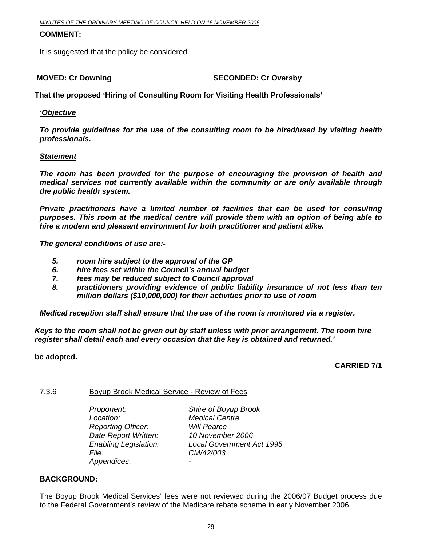### <span id="page-28-0"></span>**COMMENT:**

It is suggested that the policy be considered.

**MOVED: Cr Downing Case Conduct Act Act SECONDED: Cr Oversby** 

**That the proposed 'Hiring of Consulting Room for Visiting Health Professionals'** 

### *'Objective*

*To provide guidelines for the use of the consulting room to be hired/used by visiting health professionals.* 

### *Statement*

*The room has been provided for the purpose of encouraging the provision of health and medical services not currently available within the community or are only available through the public health system.* 

*Private practitioners have a limited number of facilities that can be used for consulting purposes. This room at the medical centre will provide them with an option of being able to hire a modern and pleasant environment for both practitioner and patient alike.* 

*The general conditions of use are:-* 

- *5. room hire subject to the approval of the GP*
- *6. hire fees set within the Council's annual budget*
- *7. fees may be reduced subject to Council approval*
- *8. practitioners providing evidence of public liability insurance of not less than ten million dollars (\$10,000,000) for their activities prior to use of room*

*Medical reception staff shall ensure that the use of the room is monitored via a register.* 

*Keys to the room shall not be given out by staff unless with prior arrangement. The room hire register shall detail each and every occasion that the key is obtained and returned.'*

### **be adopted.**

**CARRIED 7/1** 

### 7.3.6 Boyup Brook Medical Service - Review of Fees

 *Proponent: Shire of Boyup Brook Location: Medical Centre Reporting Officer: Will Pearce Date Report Written: 10 November 2006 File: CM/42/003 Appendices*: -

 *Enabling Legislation: Local Government Act 1995* 

### **BACKGROUND:**

The Boyup Brook Medical Services' fees were not reviewed during the 2006/07 Budget process due to the Federal Government's review of the Medicare rebate scheme in early November 2006.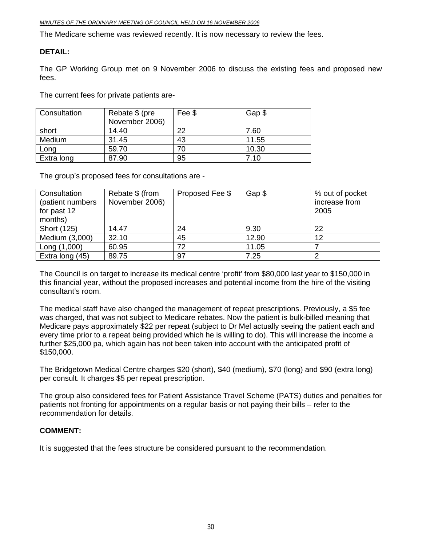The Medicare scheme was reviewed recently. It is now necessary to review the fees.

### **DETAIL:**

The GP Working Group met on 9 November 2006 to discuss the existing fees and proposed new fees.

The current fees for private patients are-

| Consultation | Rebate \$ (pre<br>November 2006) | Fee \$ | Gap \$ |
|--------------|----------------------------------|--------|--------|
| short        | 14.40                            | 22     | 7.60   |
| Medium       | 31.45                            | 43     | 11.55  |
| Long         | 59.70                            |        | 10.30  |
| Extra long   | 87.90                            | 95     | 7.10   |

The group's proposed fees for consultations are -

| Consultation<br>(patient numbers)<br>for past 12<br>months) | Rebate \$ (from<br>November 2006) | Proposed Fee \$ | Gap \$ | % out of pocket<br>increase from<br>2005 |
|-------------------------------------------------------------|-----------------------------------|-----------------|--------|------------------------------------------|
| Short (125)                                                 | 14.47                             | 24              | 9.30   | 22                                       |
| Medium (3,000)                                              | 32.10                             | 45              | 12.90  | 12                                       |
| Long (1,000)                                                | 60.95                             | 72              | 11.05  |                                          |
| Extra long (45)                                             | 89.75                             | 97              | 7.25   |                                          |

The Council is on target to increase its medical centre 'profit' from \$80,000 last year to \$150,000 in this financial year, without the proposed increases and potential income from the hire of the visiting consultant's room.

The medical staff have also changed the management of repeat prescriptions. Previously, a \$5 fee was charged, that was not subject to Medicare rebates. Now the patient is bulk-billed meaning that Medicare pays approximately \$22 per repeat (subject to Dr Mel actually seeing the patient each and every time prior to a repeat being provided which he is willing to do). This will increase the income a further \$25,000 pa, which again has not been taken into account with the anticipated profit of \$150,000.

The Bridgetown Medical Centre charges \$20 (short), \$40 (medium), \$70 (long) and \$90 (extra long) per consult. It charges \$5 per repeat prescription.

The group also considered fees for Patient Assistance Travel Scheme (PATS) duties and penalties for patients not fronting for appointments on a regular basis or not paying their bills – refer to the recommendation for details.

### **COMMENT:**

It is suggested that the fees structure be considered pursuant to the recommendation.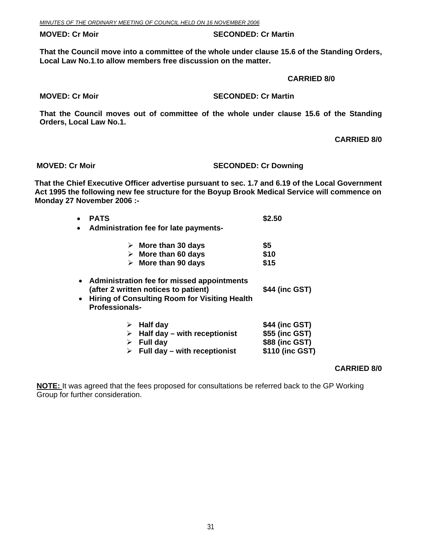### **MOVED: Cr Moir SECONDED: Cr Martin**

**That the Council move into a committee of the whole under clause 15.6 of the Standing Orders, Local Law No.1**.**to allow members free discussion on the matter.** 

### **CARRIED 8/0**

**MOVED: Cr Moir** SECONDED: Cr Martin **MOVED: Cr Martin** 

**That the Council moves out of committee of the whole under clause 15.6 of the Standing Orders, Local Law No.1.** 

**CARRIED 8/0** 

### **MOVED: Cr Moir SECONDED: Cr Downing**

**That the Chief Executive Officer advertise pursuant to sec. 1.7 and 6.19 of the Local Government Act 1995 the following new fee structure for the Boyup Brook Medical Service will commence on Monday 27 November 2006 :-** 

| <b>PATS</b>                        |                                                                                              |                 |  |
|------------------------------------|----------------------------------------------------------------------------------------------|-----------------|--|
| $\bullet$                          | Administration fee for late payments-                                                        |                 |  |
|                                    | $\triangleright$ More than 30 days                                                           | \$5             |  |
|                                    | $\triangleright$ More than 60 days                                                           | \$10            |  |
|                                    | $\triangleright$ More than 90 days                                                           | \$15            |  |
| $\bullet$<br><b>Professionals-</b> | (after 2 written notices to patient)<br><b>Hiring of Consulting Room for Visiting Health</b> | \$44 (inc GST)  |  |
|                                    | Half day                                                                                     | \$44 (inc GST)  |  |
|                                    | $\triangleright$ Half day – with receptionist                                                | \$55 (inc GST)  |  |
| ➤                                  | <b>Full day</b>                                                                              | \$88 (inc GST)  |  |
|                                    | $\triangleright$ Full day – with receptionist                                                | \$110 (inc GST) |  |

### **CARRIED 8/0**

**NOTE:** It was agreed that the fees proposed for consultations be referred back to the GP Working Group for further consideration.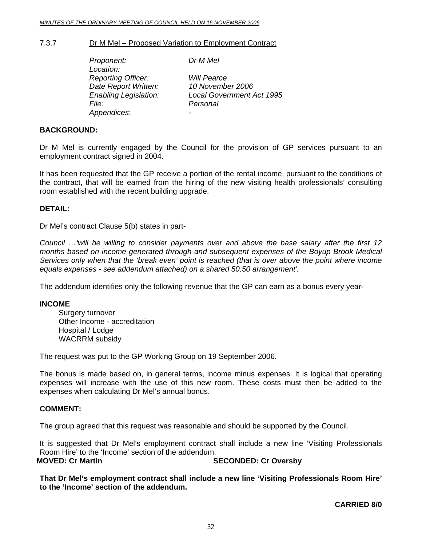### <span id="page-31-0"></span>7.3.7 Dr M Mel – Proposed Variation to Employment Contract

 *Proponent: Dr M Mel Location: Reporting Officer: Will Pearce Date Report Written: 10 November 2006 File: Personal Appendices*: -

 *Enabling Legislation: Local Government Act 1995* 

### **BACKGROUND:**

Dr M Mel is currently engaged by the Council for the provision of GP services pursuant to an employment contract signed in 2004.

It has been requested that the GP receive a portion of the rental income, pursuant to the conditions of the contract, that will be earned from the hiring of the new visiting health professionals' consulting room established with the recent building upgrade.

### **DETAIL:**

Dr Mel's contract Clause 5(b) states in part-

 *Council …'will be willing to consider payments over and above the base salary after the first 12 months based on income generated through and subsequent expenses of the Boyup Brook Medical Services only when that the 'break even' point is reached (that is over above the point where income equals expenses - see addendum attached) on a shared 50:50 arrangement'.* 

The addendum identifies only the following revenue that the GP can earn as a bonus every year-

### **INCOME**

Surgery turnover Other Income - accreditation Hospital / Lodge WACRRM subsidy

The request was put to the GP Working Group on 19 September 2006.

 The bonus is made based on, in general terms, income minus expenses. It is logical that operating expenses will increase with the use of this new room. These costs must then be added to the expenses when calculating Dr Mel's annual bonus.

### **COMMENT:**

The group agreed that this request was reasonable and should be supported by the Council.

It is suggested that Dr Mel's employment contract shall include a new line 'Visiting Professionals Room Hire' to the 'Income' section of the addendum. **MOVED: Cr Martin SECONDED: Cr Oversby** 

**That Dr Mel's employment contract shall include a new line 'Visiting Professionals Room Hire' to the 'Income' section of the addendum.** 

**CARRIED 8/0**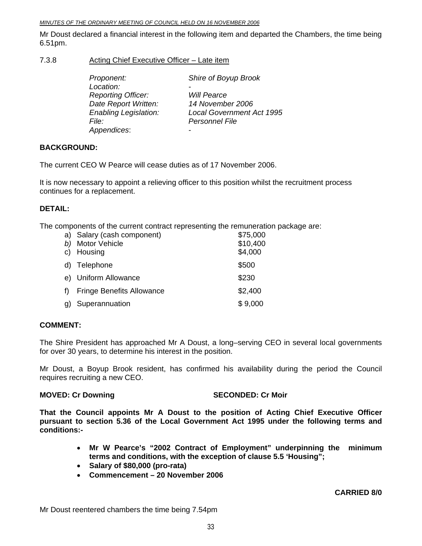### <span id="page-32-0"></span>*MINUTES OF THE ORDINARY MEETING OF COUNCIL HELD ON 16 NOVEMBER 2006*

Mr Doust declared a financial interest in the following item and departed the Chambers, the time being 6.51pm.

### 7.3.8 Acting Chief Executive Officer – Late item

| Proponent:                   | Shire of Boyup Brook             |
|------------------------------|----------------------------------|
| Location:                    |                                  |
| <b>Reporting Officer:</b>    | <b>Will Pearce</b>               |
| Date Report Written:         | 14 November 2006                 |
| <b>Enabling Legislation:</b> | <b>Local Government Act 1995</b> |
| <i>File:</i>                 | <b>Personnel File</b>            |
| Appendices:                  |                                  |

### **BACKGROUND:**

The current CEO W Pearce will cease duties as of 17 November 2006.

It is now necessary to appoint a relieving officer to this position whilst the recruitment process continues for a replacement.

### **DETAIL:**

The components of the current contract representing the remuneration package are:

|    | a) Salary (cash component)       | \$75,000 |
|----|----------------------------------|----------|
| b) | <b>Motor Vehicle</b>             | \$10,400 |
|    | c) Housing                       | \$4,000  |
|    | d) Telephone                     | \$500    |
|    | e) Uniform Allowance             | \$230    |
| f) | <b>Fringe Benefits Allowance</b> | \$2,400  |
|    | Superannuation                   | \$9,000  |

### **COMMENT:**

The Shire President has approached Mr A Doust, a long–serving CEO in several local governments for over 30 years, to determine his interest in the position.

Mr Doust, a Boyup Brook resident, has confirmed his availability during the period the Council requires recruiting a new CEO.

### **MOVED: Cr Downing SECONDED: Cr Moir**

**That the Council appoints Mr A Doust to the position of Acting Chief Executive Officer pursuant to section 5.36 of the Local Government Act 1995 under the following terms and conditions:-** 

- **Mr W Pearce's "2002 Contract of Employment" underpinning the minimum terms and conditions, with the exception of clause 5.5 'Housing";**
- **Salary of \$80,000 (pro-rata)**
- **Commencement 20 November 2006**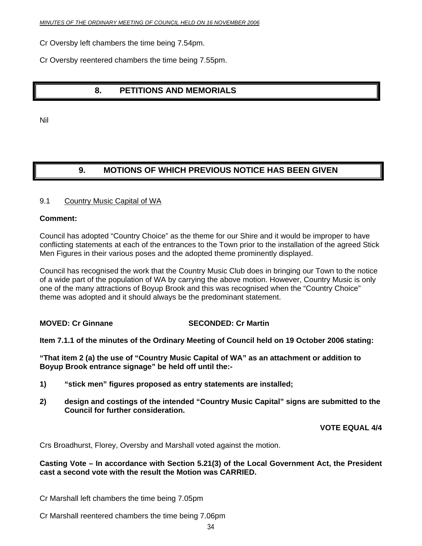<span id="page-33-0"></span>Cr Oversby left chambers the time being 7.54pm.

Cr Oversby reentered chambers the time being 7.55pm.

### **8. PETITIONS AND MEMORIALS**

Nil

### **9. MOTIONS OF WHICH PREVIOUS NOTICE HAS BEEN GIVEN**

### 9.1 Country Music Capital of WA

### **Comment:**

Council has adopted "Country Choice" as the theme for our Shire and it would be improper to have conflicting statements at each of the entrances to the Town prior to the installation of the agreed Stick Men Figures in their various poses and the adopted theme prominently displayed.

Council has recognised the work that the Country Music Club does in bringing our Town to the notice of a wide part of the population of WA by carrying the above motion. However, Country Music is only one of the many attractions of Boyup Brook and this was recognised when the "Country Choice" theme was adopted and it should always be the predominant statement.

### **MOVED: Cr Ginnane SECONDED: Cr Martin**

**Item 7.1.1 of the minutes of the Ordinary Meeting of Council held on 19 October 2006 stating:** 

**"That item 2 (a) the use of "Country Music Capital of WA" as an attachment or addition to Boyup Brook entrance signage" be held off until the:-** 

- **1) "stick men" figures proposed as entry statements are installed;**
- **2) design and costings of the intended "Country Music Capital" signs are submitted to the Council for further consideration.**

**VOTE EQUAL 4/4** 

Crs Broadhurst, Florey, Oversby and Marshall voted against the motion.

**Casting Vote – In accordance with Section 5.21(3) of the Local Government Act, the President cast a second vote with the result the Motion was CARRIED.** 

Cr Marshall left chambers the time being 7.05pm

Cr Marshall reentered chambers the time being 7.06pm